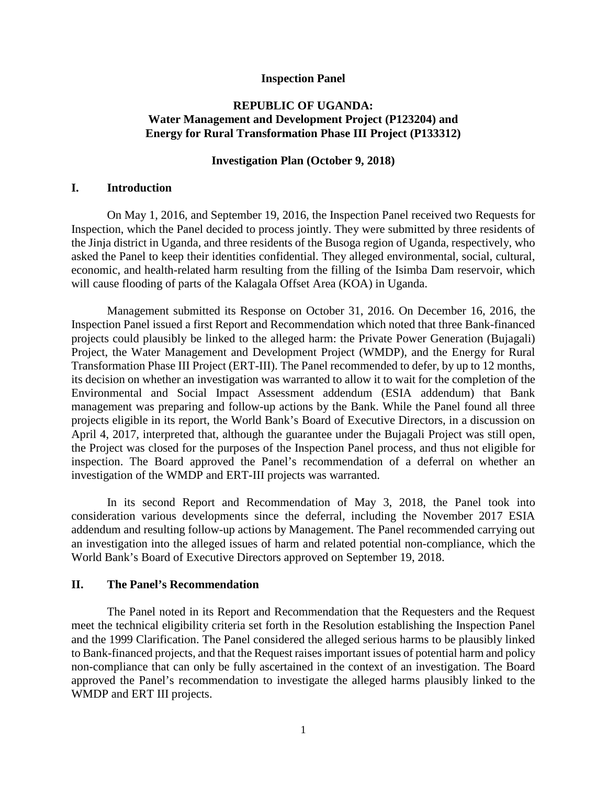#### **Inspection Panel**

# **REPUBLIC OF UGANDA: Water Management and Development Project (P123204) and Energy for Rural Transformation Phase III Project (P133312)**

#### **Investigation Plan (October 9, 2018)**

### **I. Introduction**

On May 1, 2016, and September 19, 2016, the Inspection Panel received two Requests for Inspection, which the Panel decided to process jointly. They were submitted by three residents of the Jinja district in Uganda, and three residents of the Busoga region of Uganda, respectively, who asked the Panel to keep their identities confidential. They alleged environmental, social, cultural, economic, and health-related harm resulting from the filling of the Isimba Dam reservoir, which will cause flooding of parts of the Kalagala Offset Area (KOA) in Uganda.

Management submitted its Response on October 31, 2016. On December 16, 2016, the Inspection Panel issued a first Report and Recommendation which noted that three Bank-financed projects could plausibly be linked to the alleged harm: the Private Power Generation (Bujagali) Project, the Water Management and Development Project (WMDP), and the Energy for Rural Transformation Phase III Project (ERT-III). The Panel recommended to defer, by up to 12 months, its decision on whether an investigation was warranted to allow it to wait for the completion of the Environmental and Social Impact Assessment addendum (ESIA addendum) that Bank management was preparing and follow-up actions by the Bank. While the Panel found all three projects eligible in its report, the World Bank's Board of Executive Directors, in a discussion on April 4, 2017, interpreted that, although the guarantee under the Bujagali Project was still open, the Project was closed for the purposes of the Inspection Panel process, and thus not eligible for inspection. The Board approved the Panel's recommendation of a deferral on whether an investigation of the WMDP and ERT-III projects was warranted.

In its second Report and Recommendation of May 3, 2018, the Panel took into consideration various developments since the deferral, including the November 2017 ESIA addendum and resulting follow-up actions by Management. The Panel recommended carrying out an investigation into the alleged issues of harm and related potential non-compliance, which the World Bank's Board of Executive Directors approved on September 19, 2018.

### **II. The Panel's Recommendation**

The Panel noted in its Report and Recommendation that the Requesters and the Request meet the technical eligibility criteria set forth in the Resolution establishing the Inspection Panel and the 1999 Clarification. The Panel considered the alleged serious harms to be plausibly linked to Bank-financed projects, and that the Request raises important issues of potential harm and policy non-compliance that can only be fully ascertained in the context of an investigation. The Board approved the Panel's recommendation to investigate the alleged harms plausibly linked to the WMDP and ERT III projects.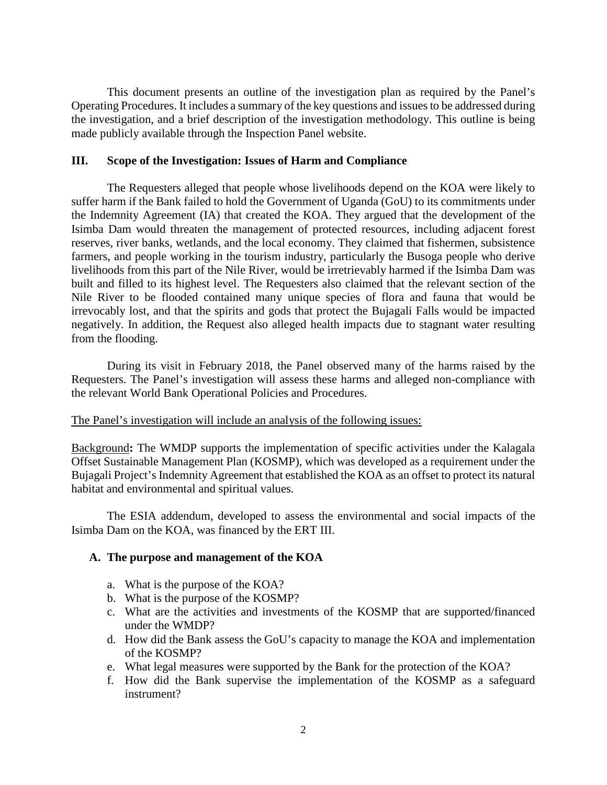This document presents an outline of the investigation plan as required by the Panel's Operating Procedures. It includes a summary of the key questions and issues to be addressed during the investigation, and a brief description of the investigation methodology. This outline is being made publicly available through the Inspection Panel website.

### **III. Scope of the Investigation: Issues of Harm and Compliance**

The Requesters alleged that people whose livelihoods depend on the KOA were likely to suffer harm if the Bank failed to hold the Government of Uganda (GoU) to its commitments under the Indemnity Agreement (IA) that created the KOA. They argued that the development of the Isimba Dam would threaten the management of protected resources, including adjacent forest reserves, river banks, wetlands, and the local economy. They claimed that fishermen, subsistence farmers, and people working in the tourism industry, particularly the Busoga people who derive livelihoods from this part of the Nile River, would be irretrievably harmed if the Isimba Dam was built and filled to its highest level. The Requesters also claimed that the relevant section of the Nile River to be flooded contained many unique species of flora and fauna that would be irrevocably lost, and that the spirits and gods that protect the Bujagali Falls would be impacted negatively. In addition, the Request also alleged health impacts due to stagnant water resulting from the flooding.

During its visit in February 2018, the Panel observed many of the harms raised by the Requesters. The Panel's investigation will assess these harms and alleged non-compliance with the relevant World Bank Operational Policies and Procedures.

#### The Panel's investigation will include an analysis of the following issues:

Background**:** The WMDP supports the implementation of specific activities under the Kalagala Offset Sustainable Management Plan (KOSMP), which was developed as a requirement under the Bujagali Project's Indemnity Agreement that established the KOA as an offset to protect its natural habitat and environmental and spiritual values.

The ESIA addendum, developed to assess the environmental and social impacts of the Isimba Dam on the KOA, was financed by the ERT III.

#### **A. The purpose and management of the KOA**

- a. What is the purpose of the KOA?
- b. What is the purpose of the KOSMP?
- c. What are the activities and investments of the KOSMP that are supported/financed under the WMDP?
- d. How did the Bank assess the GoU's capacity to manage the KOA and implementation of the KOSMP?
- e. What legal measures were supported by the Bank for the protection of the KOA?
- f. How did the Bank supervise the implementation of the KOSMP as a safeguard instrument?